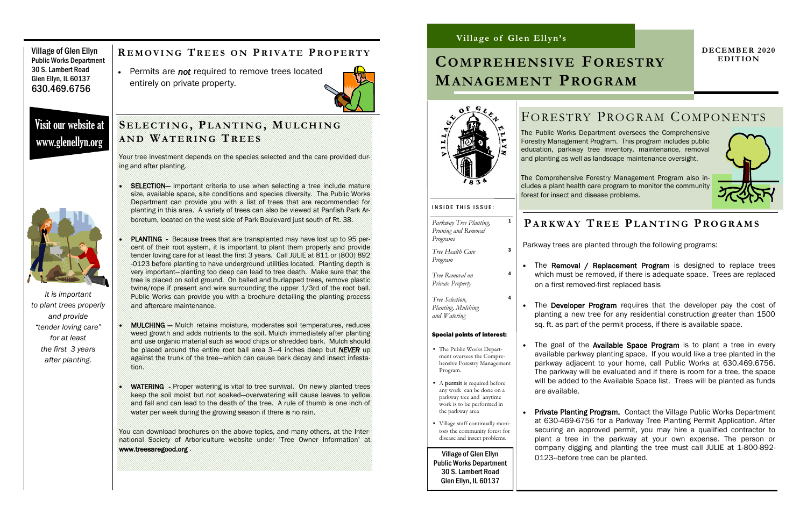Village of Glen Ellyn Public Works Department 30 S. Lambert Road Glen Ellyn, IL 60137 630.469.6756

> Your tree investment depends on the species selected and the care provided during and after planting.

- SELECTION— Important criteria to use when selecting a tree include mature size, available space, site conditions and species diversity. The Public Works Department can provide you with a list of trees that are recommended for planting in this area. A variety of trees can also be viewed at Panfish Park Arboretum, located on the west side of Park Boulevard just south of Rt. 38.
- PLANTING Because trees that are transplanted may have lost up to 95 percent of their root system, it is important to plant them properly and provide tender loving care for at least the first 3 years. Call JULIE at 811 or (800) 892 -0123 before planting to have underground utilities located. Planting depth is very important—planting too deep can lead to tree death. Make sure that the tree is placed on solid ground. On balled and burlapped trees, remove plastic twine/rope if present and wire surrounding the upper 1/3rd of the root ball. Public Works can provide you with a brochure detailing the planting process and aftercare maintenance.
- MULCHING Mulch retains moisture, moderates soil temperatures, reduces weed growth and adds nutrients to the soil. Mulch immediately after planting and use organic material such as wood chips or shredded bark. Mulch should be placed around the entire root ball area 3—4 inches deep but *NEVER* up against the trunk of the tree—which can cause bark decay and insect infestation.
- WATERING Proper watering is vital to tree survival. On newly planted trees keep the soil moist but not soaked—overwatering will cause leaves to yellow and fall and can lead to the death of the tree. A rule of thumb is one inch of water per week during the growing season if there is no rain.

• The Removal / Replacement Program is designed to replace trees which must be removed, if there is adequate space. Trees are replaced on a first removed-first replaced basis

• The goal of the Available Space Program is to plant a tree in every available parkway planting space. If you would like a tree planted in the parkway adjacent to your home, call Public Works at 630.469.6756. The parkway will be evaluated and if there is room for a tree, the space will be added to the Available Space list. Trees will be planted as funds

You can download brochures on the above topics, and many others, at the International Society of Arboriculture website under 'Tree Owner Information' at www.treesaregood.org .

• The Developer Program requires that the developer pay the cost of planting a new tree for any residential construction greater than 1500 sq. ft. as part of the permit process, if there is available space.

#### **S E L E C T I N G , PL A N T I N G , MU L C H I N G A N D WA T E R I N G TR E E S**

 Permits are *not* required to remove trees located entirely on private property.



Visit our website at www.glenellyn.org



#### **R E M O V I N G TR E E S O N PR I VA T E PR O P E R T Y**

*It is important to plant trees properly and provide "tender loving care" for at least the first 3 years after planting.*

> • Private Planting Program. Contact the Village Public Works Department at 630-469-6756 for a Parkway Tree Planting Permit Application. After securing an approved permit, you may hire a qualified contractor to plant a tree in the parkway at your own expense. The person or company digging and planting the tree must call JULIE at 1-800-892-

#### **Village of Glen Ellyn's**

#### **DECEMBER 2020 EDITION**

# FORESTRY PROGRAM COMPONENTS





*Parkway Tree Planting, Pruning and Removal*

*Programs*

1

*Tree Health Care* 

*Program*

3

*Tree Removal on Private Property*

4

4

# **COMPREHENSIVE FORESTRY MANAGEMENT PROGRAM**

The Public Works Department oversees the Comprehensive Forestry Management Program. This program includes public education, parkway tree inventory, maintenance, removal and planting as well as landscape maintenance oversight.

The Comprehensive Forestry Management Program also includes a plant health care program to monitor the community forest for insect and disease problems.

Village of Glen Ellyn Public Works Department 30 S. Lambert Road Glen Ellyn, IL 60137



# **PA R K W A Y TR E E PL A N T I N G PR O G R A M S**

Parkway trees are planted through the following programs:

- are available.
- 0123--before tree can be planted.
- *Tree Selection, Planting, Mulching and Watering* Special points of interest: • The Public Works Department oversees the Comprehensive Forestry Management Program. • A **permit** is required before any work can be done on a parkway tree and anytime work is to be performed in the parkway area
- Village staff continually monitors the community forest for disease and insect problems.